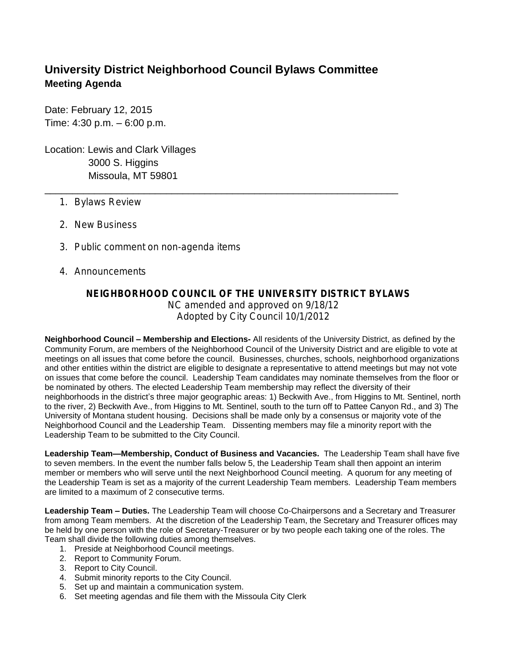## **University District Neighborhood Council Bylaws Committee Meeting Agenda**

\_\_\_\_\_\_\_\_\_\_\_\_\_\_\_\_\_\_\_\_\_\_\_\_\_\_\_\_\_\_\_\_\_\_\_\_\_\_\_\_\_\_\_\_\_\_\_\_\_\_\_\_\_\_\_\_\_\_\_\_\_\_\_\_

Date: February 12, 2015 Time: 4:30 p.m. – 6:00 p.m.

Location: Lewis and Clark Villages 3000 S. Higgins Missoula, MT 59801

- 1. Bylaws Review
- 2. New Business
- 3. Public comment on non-agenda items
- 4. Announcements

## **NEIGHBORHOOD COUNCIL OF THE UNIVERSITY DISTRICT BYLAWS**

NC amended and approved on 9/18/12 Adopted by City Council 10/1/2012

**Neighborhood Council – Membership and Elections-** All residents of the University District, as defined by the Community Forum, are members of the Neighborhood Council of the University District and are eligible to vote at meetings on all issues that come before the council. Businesses, churches, schools, neighborhood organizations and other entities within the district are eligible to designate a representative to attend meetings but may not vote on issues that come before the council. Leadership Team candidates may nominate themselves from the floor or be nominated by others. The elected Leadership Team membership may reflect the diversity of their neighborhoods in the district's three major geographic areas: 1) Beckwith Ave., from Higgins to Mt. Sentinel, north to the river, 2) Beckwith Ave., from Higgins to Mt. Sentinel, south to the turn off to Pattee Canyon Rd., and 3) The University of Montana student housing. Decisions shall be made only by a consensus or majority vote of the Neighborhood Council and the Leadership Team. Dissenting members may file a minority report with the Leadership Team to be submitted to the City Council.

**Leadership Team—Membership, Conduct of Business and Vacancies.** The Leadership Team shall have five to seven members. In the event the number falls below 5, the Leadership Team shall then appoint an interim member or members who will serve until the next Neighborhood Council meeting. A quorum for any meeting of the Leadership Team is set as a majority of the current Leadership Team members. Leadership Team members are limited to a maximum of 2 consecutive terms.

**Leadership Team – Duties.** The Leadership Team will choose Co-Chairpersons and a Secretary and Treasurer from among Team members. At the discretion of the Leadership Team, the Secretary and Treasurer offices may be held by one person with the role of Secretary-Treasurer or by two people each taking one of the roles. The Team shall divide the following duties among themselves.

- 1. Preside at Neighborhood Council meetings.
- 2. Report to Community Forum.
- 3. Report to City Council.
- 4. Submit minority reports to the City Council.
- 5. Set up and maintain a communication system.
- 6. Set meeting agendas and file them with the Missoula City Clerk